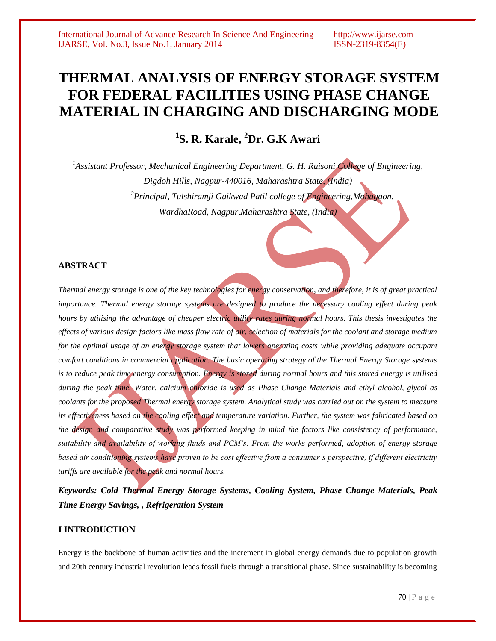# **THERMAL ANALYSIS OF ENERGY STORAGE SYSTEM FOR FEDERAL FACILITIES USING PHASE CHANGE MATERIAL IN CHARGING AND DISCHARGING MODE**

# **1 S. R. Karale, <sup>2</sup>Dr. G.K Awari**

*<sup>1</sup>Assistant Professor, Mechanical Engineering Department, G. H. Raisoni College of Engineering, Digdoh Hills, Nagpur-440016, Maharashtra State, (India) <sup>2</sup>Principal, Tulshiramji Gaikwad Patil college of Engineering,Mohagaon, WardhaRoad, Nagpur,Maharashtra State, (India)*

# **ABSTRACT**

*Thermal energy storage is one of the key technologies for energy conservation, and therefore, it is of great practical importance. Thermal energy storage systems are designed to produce the necessary cooling effect during peak hours by utilising the advantage of cheaper electric utility rates during normal hours. This thesis investigates the effects of various design factors like mass flow rate of air, selection of materials for the coolant and storage medium for the optimal usage of an energy storage system that lowers operating costs while providing adequate occupant comfort conditions in commercial application. The basic operating strategy of the Thermal Energy Storage systems is to reduce peak time energy consumption. Energy is stored during normal hours and this stored energy is utilised during the peak time. Water, calcium chloride is used as Phase Change Materials and ethyl alcohol, glycol as coolants for the proposed Thermal energy storage system. Analytical study was carried out on the system to measure its effectiveness based on the cooling effect and temperature variation. Further, the system was fabricated based on the design and comparative study was performed keeping in mind the factors like consistency of performance, suitability and availability of working fluids and PCM's. From the works performed, adoption of energy storage based air conditioning systems have proven to be cost effective from a consumer's perspective, if different electricity tariffs are available for the peak and normal hours.*

*Keywords: Cold Thermal Energy Storage Systems, Cooling System, Phase Change Materials, Peak Time Energy Savings, , Refrigeration System*

# **I INTRODUCTION**

Energy is the backbone of human activities and the increment in global energy demands due to population growth and 20th century industrial revolution leads fossil fuels through a transitional phase. Since sustainability is becoming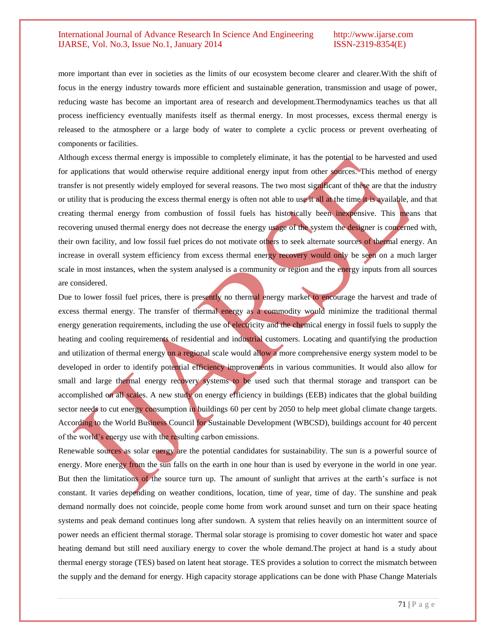more important than ever in societies as the limits of our ecosystem become clearer and clearer.With the shift of focus in the energy industry towards more efficient and sustainable generation, transmission and usage of power, reducing waste has become an important area of research and development.Thermodynamics teaches us that all process inefficiency eventually manifests itself as thermal energy. In most processes, excess thermal energy is released to the atmosphere or a large body of water to complete a cyclic process or prevent overheating of components or facilities.

Although excess thermal energy is impossible to completely eliminate, it has the potential to be harvested and used for applications that would otherwise require additional energy input from other sources. This method of energy transfer is not presently widely employed for several reasons. The two most significant of these are that the industry or utility that is producing the excess thermal energy is often not able to use it all at the time it is available, and that creating thermal energy from combustion of fossil fuels has historically been inexpensive. This means that recovering unused thermal energy does not decrease the energy usage of the system the designer is concerned with, their own facility, and low fossil fuel prices do not motivate others to seek alternate sources of thermal energy. An increase in overall system efficiency from excess thermal energy recovery would only be seen on a much larger scale in most instances, when the system analysed is a community or region and the energy inputs from all sources are considered.

Due to lower fossil fuel prices, there is presently no thermal energy market to encourage the harvest and trade of excess thermal energy. The transfer of thermal energy as a commodity would minimize the traditional thermal energy generation requirements, including the use of electricity and the chemical energy in fossil fuels to supply the heating and cooling requirements of residential and industrial customers. Locating and quantifying the production and utilization of thermal energy on a regional scale would allow a more comprehensive energy system model to be developed in order to identify potential efficiency improvements in various communities. It would also allow for small and large thermal energy recovery systems to be used such that thermal storage and transport can be accomplished on all scales. A new study on energy efficiency in buildings (EEB) indicates that the global building sector needs to cut energy consumption in buildings 60 per cent by 2050 to help meet global climate change targets. According to the World Business Council for Sustainable Development (WBCSD), buildings account for 40 percent of the world"s energy use with the resulting carbon emissions.

Renewable sources as solar energy are the potential candidates for sustainability. The sun is a powerful source of energy. More energy from the sun falls on the earth in one hour than is used by everyone in the world in one year. But then the limitations of the source turn up. The amount of sunlight that arrives at the earth's surface is not constant. It varies depending on weather conditions, location, time of year, time of day. The sunshine and peak demand normally does not coincide, people come home from work around sunset and turn on their space heating systems and peak demand continues long after sundown. A system that relies heavily on an intermittent source of power needs an efficient thermal storage. Thermal solar storage is promising to cover domestic hot water and space heating demand but still need auxiliary energy to cover the whole demand.The project at hand is a study about thermal energy storage (TES) based on latent heat storage. TES provides a solution to correct the mismatch between the supply and the demand for energy. High capacity storage applications can be done with Phase Change Materials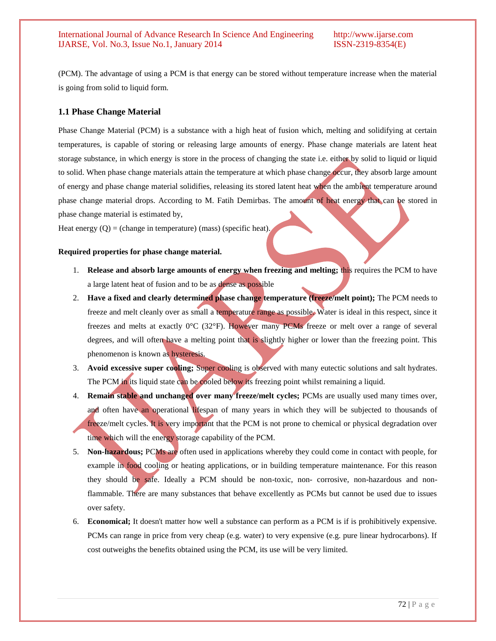(PCM). The advantage of using a PCM is that energy can be stored without temperature increase when the material is going from solid to liquid form.

## **1.1 Phase Change Material**

Phase Change Material (PCM) is a substance with a high heat of fusion which, melting and solidifying at certain temperatures, is capable of storing or releasing large amounts of energy. Phase change materials are latent heat storage substance, in which energy is store in the process of changing the state i.e. either by solid to liquid or liquid to solid. When phase change materials attain the temperature at which phase change occur, they absorb large amount of energy and phase change material solidifies, releasing its stored latent heat when the ambient temperature around phase change material drops. According to M. Fatih Demirbas. The amount of heat energy that can be stored in phase change material is estimated by,

Heat energy  $(Q)$  = (change in temperature) (mass) (specific heat).

#### **Required properties for phase change material.**

- 1. **Release and absorb large amounts of energy when freezing and melting;** this requires the PCM to have a large latent heat of fusion and to be as dense as possible
- 2. **Have a fixed and clearly determined phase change temperature (freeze/melt point);** The PCM needs to freeze and melt cleanly over as small a temperature range as possible. Water is ideal in this respect, since it freezes and melts at exactly 0°C (32°F). However many PCMs freeze or melt over a range of several degrees, and will often have a melting point that is slightly higher or lower than the freezing point. This phenomenon is known as hysteresis.
- 3. **Avoid excessive super cooling;** Super cooling is observed with many eutectic solutions and salt hydrates. The PCM in its liquid state can be cooled below its freezing point whilst remaining a liquid.
- 4. **Remain stable and unchanged over many freeze/melt cycles;** PCMs are usually used many times over, and often have an operational lifespan of many years in which they will be subjected to thousands of freeze/melt cycles. It is very important that the PCM is not prone to chemical or physical degradation over time which will the energy storage capability of the PCM.
- 5. **Non-hazardous;** PCMs are often used in applications whereby they could come in contact with people, for example in food cooling or heating applications, or in building temperature maintenance. For this reason they should be safe. Ideally a PCM should be non-toxic, non- corrosive, non-hazardous and nonflammable. There are many substances that behave excellently as PCMs but cannot be used due to issues over safety.
- 6. **Economical;** It doesn't matter how well a substance can perform as a PCM is if is prohibitively expensive. PCMs can range in price from very cheap (e.g. water) to very expensive (e.g. pure linear hydrocarbons). If cost outweighs the benefits obtained using the PCM, its use will be very limited.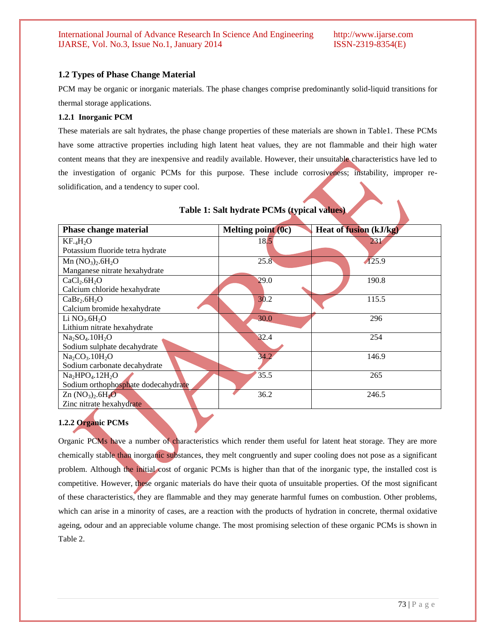# **1.2 Types of Phase Change Material**

PCM may be organic or inorganic materials. The phase changes comprise predominantly solid-liquid transitions for thermal storage applications.

#### **1.2.1 Inorganic PCM**

These materials are salt hydrates, the phase change properties of these materials are shown in Table1. These PCMs have some attractive properties including high latent heat values, they are not flammable and their high water content means that they are inexpensive and readily available. However, their unsuitable characteristics have led to the investigation of organic PCMs for this purpose. These include corrosiveness; instability, improper resolidification, and a tendency to super cool.

| <b>Phase change material</b>         | Melting point (0c) | <b>Heat of fusion (kJ/kg)</b> |
|--------------------------------------|--------------------|-------------------------------|
| KF.AH <sub>2</sub> O                 | 18.5               | 231                           |
| Potassium fluoride tetra hydrate     |                    |                               |
| Mn $(NO_3)$ , $6H_2O$                | 25.8               | $\sqrt{125.9}$                |
| Manganese nitrate hexahydrate        |                    |                               |
| CaCl <sub>2</sub> 6H <sub>2</sub> O  | 29.0               | 190.8                         |
| Calcium chloride hexahydrate         |                    |                               |
| CaBr <sub>2</sub> .6H <sub>2</sub> O | 30.2               | 115.5                         |
| Calcium bromide hexahydrate          |                    |                               |
| Li $NO3$ .6H <sub>2</sub> O          | 30.0               | 296                           |
| Lithium nitrate hexahydrate          |                    |                               |
| $Na2SO4$ .10H <sub>2</sub> O         | 32.4               | 254                           |
| Sodium sulphate decahydrate          |                    |                               |
| $Na2CO3$ .10H <sub>2</sub> O         | 34.2               | 146.9                         |
| Sodium carbonate decahydrate         |                    |                               |
| $Na2HPO4.12H2O$                      | 35.5               | 265                           |
| Sodium orthophosphate dodecahydrate  |                    |                               |
| $Zn (NO3)2 .6H2O$                    | 36.2               | 246.5                         |
| Zinc nitrate hexahydrate             |                    |                               |

### **Table 1: Salt hydrate PCMs (typical values)**

# **1.2.2 Organic PCMs**

Organic PCMs have a number of characteristics which render them useful for latent heat storage. They are more chemically stable than inorganic substances, they melt congruently and super cooling does not pose as a significant problem. Although the initial cost of organic PCMs is higher than that of the inorganic type, the installed cost is competitive. However, these organic materials do have their quota of unsuitable properties. Of the most significant of these characteristics, they are flammable and they may generate harmful fumes on combustion. Other problems, which can arise in a minority of cases, are a reaction with the products of hydration in concrete, thermal oxidative ageing, odour and an appreciable volume change. The most promising selection of these organic PCMs is shown in Table 2.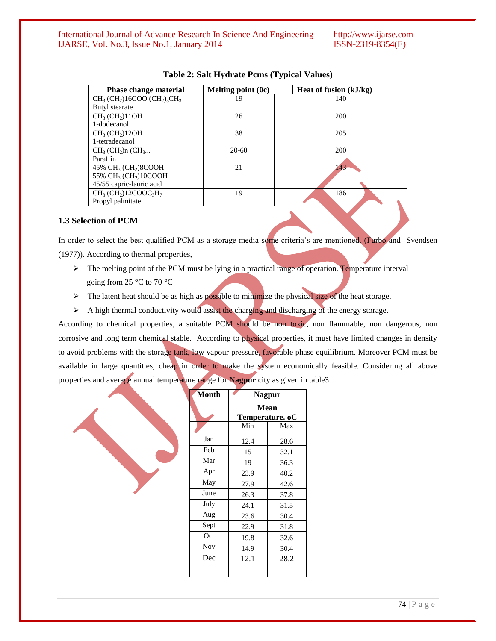| <b>Phase change material</b>                                                   | Melting point $(0c)$ | Heat of fusion (kJ/kg) |
|--------------------------------------------------------------------------------|----------------------|------------------------|
| $CH_3$ (CH <sub>2</sub> )16COO (CH <sub>2</sub> ) <sub>3</sub> CH <sub>3</sub> | 19                   | 140                    |
| Butyl stearate                                                                 |                      |                        |
| $CH_3$ (CH <sub>2</sub> )11OH                                                  | 26                   | 200                    |
| 1-dodecanol                                                                    |                      |                        |
| $CH_3$ (CH <sub>2</sub> )12OH                                                  | 38                   | 205                    |
| 1-tetradecanol                                                                 |                      |                        |
| $CH3$ (CH <sub>2</sub> )n (CH <sub>3</sub>                                     | $20-60$              | 200                    |
| Paraffin                                                                       |                      |                        |
| 45% CH <sub>3</sub> (CH <sub>2</sub> )8COOH                                    | 21                   | 143                    |
| 55% CH <sub>3</sub> (CH <sub>2</sub> )10COOH                                   |                      |                        |
| 45/55 capric-lauric acid                                                       |                      |                        |
| $CH3$ (CH <sub>2</sub> )12COOC <sub>3</sub> H <sub>7</sub>                     | 19                   | 186                    |
| Propyl palmitate                                                               |                      |                        |
|                                                                                |                      |                        |

## **Table 2: Salt Hydrate Pcms (Typical Values)**

### **1.3 Selection of PCM**

In order to select the best qualified PCM as a storage media some criteria's are mentioned. (Furbo and Svendsen (1977)). According to thermal properties,

- $\triangleright$  The melting point of the PCM must be lying in a practical range of operation. Temperature interval going from 25 °C to 70 °C
- $\triangleright$  The latent heat should be as high as possible to minimize the physical size of the heat storage.
- $\triangleright$  A high thermal conductivity would assist the charging and discharging of the energy storage.

According to chemical properties, a suitable PCM should be non toxic, non flammable, non dangerous, non corrosive and long term chemical stable. According to physical properties, it must have limited changes in density to avoid problems with the storage tank, low vapour pressure, favorable phase equilibrium. Moreover PCM must be available in large quantities, cheap in order to make the system economically feasible. Considering all above properties and average annual temperature range for **Nagpur** city as given in table3

| Month      | <b>Nagpur</b> |                         |
|------------|---------------|-------------------------|
|            |               | Mean<br>Temperature. oC |
|            | Min           | Max                     |
| Jan        | 12.4          | 28.6                    |
| Feb        | 15            | 32.1                    |
| Mar        | 19            | 36.3                    |
| Apr        | 23.9          | 40.2                    |
| May        | 27.9          | 42.6                    |
| June       | 26.3          | 37.8                    |
| July       | 24.1          | 31.5                    |
| Aug        | 23.6          | 30.4                    |
| Sept       | 22.9          | 31.8                    |
| Oct        | 19.8          | 32.6                    |
| <b>Nov</b> | 14.9          | 30.4                    |
| Dec        | 12.1          | 28.2                    |
|            |               |                         |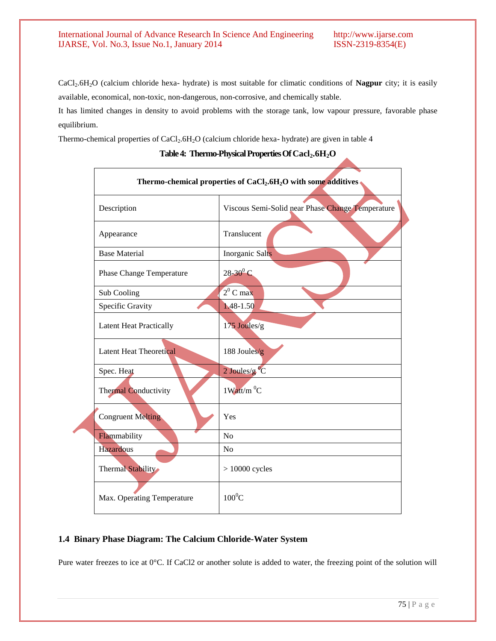CaCl2.6H2O (calcium chloride hexa- hydrate) is most suitable for climatic conditions of **Nagpur** city; it is easily available, economical, non-toxic, non-dangerous, non-corrosive, and chemically stable.

It has limited changes in density to avoid problems with the storage tank, low vapour pressure, favorable phase equilibrium.

Thermo-chemical properties of  $CaCl<sub>2</sub>·6H<sub>2</sub>O$  (calcium chloride hexa- hydrate) are given in table 4

| Thermo-chemical properties of CaCl <sub>2</sub> .6H <sub>2</sub> O with some additives |                                                  |  |
|----------------------------------------------------------------------------------------|--------------------------------------------------|--|
| Description                                                                            | Viscous Semi-Solid near Phase Change Temperature |  |
| Appearance                                                                             | Translucent                                      |  |
| <b>Base Material</b>                                                                   | <b>Inorganic Salts</b>                           |  |
| <b>Phase Change Temperature</b>                                                        | $28-30^{0}C$                                     |  |
| Sub Cooling                                                                            | $2^0$ C max                                      |  |
| Specific Gravity                                                                       | 1.48-1.50                                        |  |
| <b>Latent Heat Practically</b>                                                         | 175 Joules/g                                     |  |
| <b>Latent Heat Theoretical</b>                                                         | 188 Joules/g                                     |  |
| Spec. Heat                                                                             | $2$ Joules/g <sup>o</sup> C                      |  |
| <b>Thermal Conductivity</b>                                                            | $1$ Watt/m $^{0}$ C                              |  |
| <b>Congruent Melting</b>                                                               | Yes                                              |  |
| Flammability                                                                           | No                                               |  |
| <b>Hazardous</b>                                                                       | N <sub>o</sub>                                   |  |
| Thermal Stability                                                                      | $> 10000$ cycles                                 |  |
| Max. Operating Temperature                                                             | $100^0C$                                         |  |

# **Table4: Thermo-PhysicalPropertiesOfCacl2.6H2O**

# **1.4 Binary Phase Diagram: The Calcium Chloride-Water System**

Pure water freezes to ice at 0°C. If CaCl2 or another solute is added to water, the freezing point of the solution will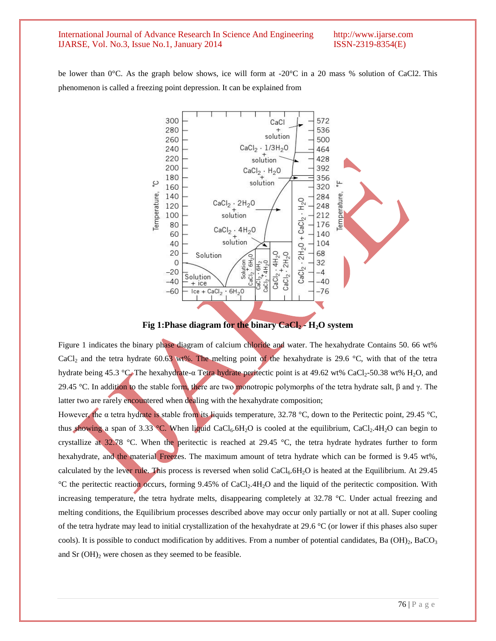be lower than 0°C. As the graph below shows, ice will form at -20°C in a 20 mass % solution of CaCl2. This phenomenon is called a freezing point depression. It can be explained from



**Fig 1:Phase diagram for the binary CaCl<sup>2</sup> - H2O system**

Figure 1 indicates the binary phase diagram of calcium chloride and water. The hexahydrate Contains 50. 66 wt% CaCl<sub>2</sub> and the tetra hydrate 60.63 wt%. The melting point of the hexahydrate is 29.6 °C, with that of the tetra hydrate being 45.3 °C. The hexahydrate-α Tetra hydrate peritectic point is at 49.62 wt% CaCl<sub>2</sub>-50.38 wt% H<sub>2</sub>O, and 29.45 °C. In addition to the stable form, there are two monotropic polymorphs of the tetra hydrate salt, β and γ. The latter two are rarely encountered when dealing with the hexahydrate composition;

However, the α tetra hydrate is stable from its liquids temperature, 32.78 °C, down to the Peritectic point, 29.45 °C, thus showing a span of 3.33 °C. When liquid CaCl<sub>6</sub>.6H<sub>2</sub>O is cooled at the equilibrium, CaCl<sub>2</sub>.4H<sub>2</sub>O can begin to crystallize at 32.78 °C. When the peritectic is reached at 29.45 °C, the tetra hydrate hydrates further to form hexahydrate, and the material Freezes. The maximum amount of tetra hydrate which can be formed is 9.45 wt%, calculated by the lever rule. This process is reversed when solid  $CaCl<sub>6</sub>.6H<sub>2</sub>O$  is heated at the Equilibrium. At 29.45 °C the peritectic reaction occurs, forming 9.45% of CaCl2.4H2O and the liquid of the peritectic composition. With increasing temperature, the tetra hydrate melts, disappearing completely at 32.78 °C. Under actual freezing and melting conditions, the Equilibrium processes described above may occur only partially or not at all. Super cooling of the tetra hydrate may lead to initial crystallization of the hexahydrate at 29.6 °C (or lower if this phases also super cools). It is possible to conduct modification by additives. From a number of potential candidates, Ba (OH)<sub>2</sub>, BaCO<sub>3</sub> and Sr  $(OH)_2$  were chosen as they seemed to be feasible.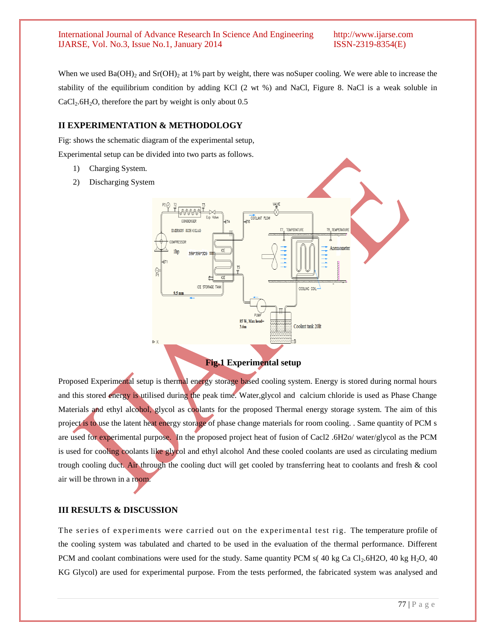When we used  $Ba(OH)<sub>2</sub>$  and  $Sr(OH)<sub>2</sub>$  at 1% part by weight, there was noSuper cooling. We were able to increase the stability of the equilibrium condition by adding KCl (2 wt %) and NaCl, Figure 8. NaCl is a weak soluble in  $CaCl<sub>2</sub>.6H<sub>2</sub>O$ , therefore the part by weight is only about 0.5

#### **II EXPERIMENTATION & METHODOLOGY**

Fig: shows the schematic diagram of the experimental setup, Experimental setup can be divided into two parts as follows.

- 1) Charging System.
- 2) Discharging System



**Fig.1 Experimental setup**

Proposed Experimental setup is thermal energy storage based cooling system. Energy is stored during normal hours and this stored energy is utilised during the peak time. Water,glycol and calcium chloride is used as Phase Change Materials and ethyl alcohol, glycol as coolants for the proposed Thermal energy storage system. The aim of this project is to use the latent heat energy storage of phase change materials for room cooling. . Same quantity of PCM s are used for experimental purpose. In the proposed project heat of fusion of Cacl2 .6H2o/ water/glycol as the PCM is used for cooling coolants like glycol and ethyl alcohol And these cooled coolants are used as circulating medium trough cooling duct. Air through the cooling duct will get cooled by transferring heat to coolants and fresh & cool air will be thrown in a room.

# **III RESULTS & DISCUSSION**

The series of experiments were carried out on the experimental test rig. The temperature profile of the cooling system was tabulated and charted to be used in the evaluation of the thermal performance. Different PCM and coolant combinations were used for the study. Same quantity PCM s( $40 \text{ kg Ca Cl}_2.6\text{H2O}$ ,  $40 \text{ kg H}_2\text{O}$ ,  $40$ KG Glycol) are used for experimental purpose. From the tests performed, the fabricated system was analysed and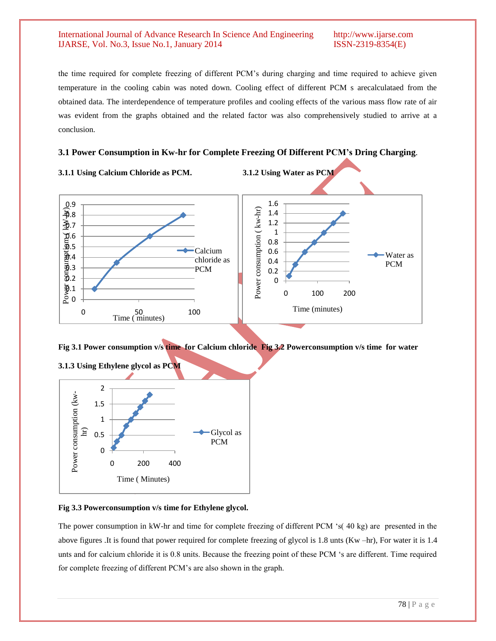the time required for complete freezing of different PCM"s during charging and time required to achieve given temperature in the cooling cabin was noted down. Cooling effect of different PCM s arecalculataed from the obtained data. The interdependence of temperature profiles and cooling effects of the various mass flow rate of air was evident from the graphs obtained and the related factor was also comprehensively studied to arrive at a conclusion.

# **3.1 Power Consumption in Kw-hr for Complete Freezing Of Different PCM's Dring Charging**.



**Fig 3.1 Power consumption v/s time for Calcium chloride Fig 3.2 Powerconsumption v/s time for water**



# **Fig 3.3 Powerconsumption v/s time for Ethylene glycol.**

The power consumption in kW-hr and time for complete freezing of different PCM "s( 40 kg) are presented in the above figures .It is found that power required for complete freezing of glycol is 1.8 unts (Kw –hr), For water it is 1.4 unts and for calcium chloride it is 0.8 units. Because the freezing point of these PCM "s are different. Time required for complete freezing of different PCM"s are also shown in the graph.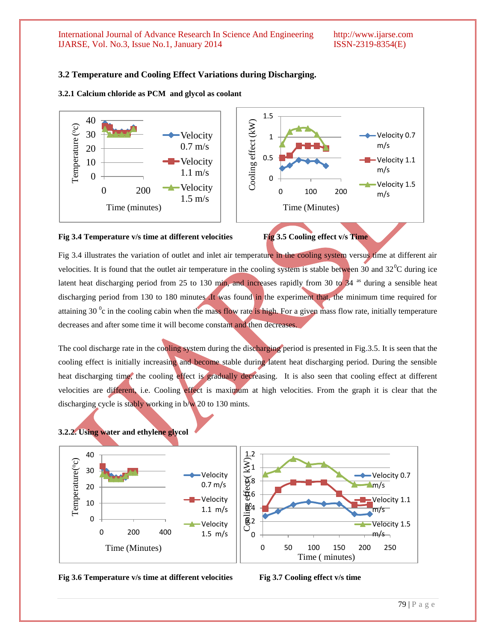### **3.2 Temperature and Cooling Effect Variations during Discharging.**

#### **3.2.1 Calcium chloride as PCM and glycol as coolant**



#### Fig 3.4 Temperature v/s time at different velocities Fig 3.5 Cooling effect v/s Time



Fig 3.4 illustrates the variation of outlet and inlet air temperature in the cooling system versus time at different air velocities. It is found that the outlet air temperature in the cooling system is stable between 30 and  $32^{\circ}$ C during ice latent heat discharging period from 25 to 130 min, and increases rapidly from 30 to  $34^{48}$  during a sensible heat discharging period from 130 to 180 minutes .It was found in the experiment that, the minimum time required for attaining 30  $\degree$ c in the cooling cabin when the mass flow rate is high. For a given mass flow rate, initially temperature decreases and after some time it will become constant and then decreases.

The cool discharge rate in the cooling system during the discharging period is presented in Fig.3.5. It is seen that the cooling effect is initially increasing and become stable during latent heat discharging period. During the sensible heat discharging time, the cooling effect is gradually decreasing. It is also seen that cooling effect at different velocities are different, i.e. Cooling effect is maximum at high velocities. From the graph it is clear that the discharging cycle is stably working in b/w 20 to 130 mints.









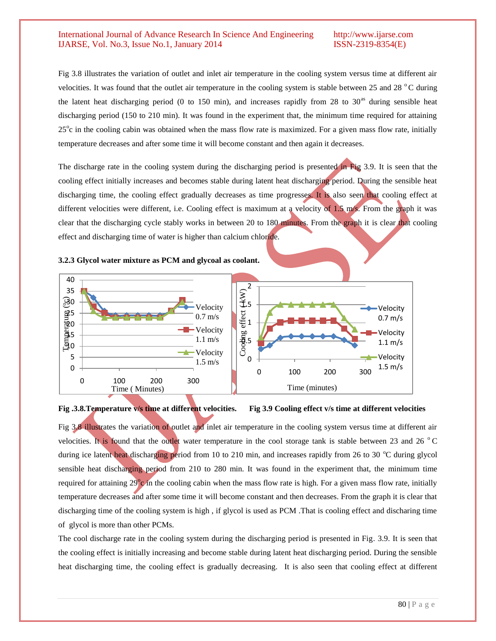Fig 3.8 illustrates the variation of outlet and inlet air temperature in the cooling system versus time at different air velocities. It was found that the outlet air temperature in the cooling system is stable between 25 and 28  $^{\circ}$ C during the latent heat discharging period (0 to 150 min), and increases rapidly from 28 to  $30<sup>as</sup>$  during sensible heat discharging period (150 to 210 min). It was found in the experiment that, the minimum time required for attaining 25<sup>°</sup>c in the cooling cabin was obtained when the mass flow rate is maximized. For a given mass flow rate, initially temperature decreases and after some time it will become constant and then again it decreases.

The discharge rate in the cooling system during the discharging period is presented in Fig 3.9. It is seen that the cooling effect initially increases and becomes stable during latent heat discharging period. During the sensible heat discharging time, the cooling effect gradually decreases as time progresses. It is also seen that cooling effect at different velocities were different, i.e. Cooling effect is maximum at a velocity of 1.5 m/s. From the graph it was clear that the discharging cycle stably works in between 20 to 180 minutes. From the graph it is clear that cooling effect and discharging time of water is higher than calcium chloride.

#### **3.2.3 Glycol water mixture as PCM and glycoal as coolant.**





#### **Fig .3.8.Temperature v/s time at different velocities. Fig 3.9 Cooling effect v/s time at different velocities**

Fig 3.8 illustrates the variation of outlet and inlet air temperature in the cooling system versus time at different air velocities. It is found that the outlet water temperature in the cool storage tank is stable between 23 and 26  $^{\circ}$ C during ice latent heat discharging period from 10 to 210 min, and increases rapidly from 26 to 30  $^{\circ}$ C during glycol sensible heat discharging period from 210 to 280 min. It was found in the experiment that, the minimum time required for attaining  $29^\circ$ c in the cooling cabin when the mass flow rate is high. For a given mass flow rate, initially temperature decreases and after some time it will become constant and then decreases. From the graph it is clear that discharging time of the cooling system is high , if glycol is used as PCM .That is cooling effect and discharing time of glycol is more than other PCMs.

The cool discharge rate in the cooling system during the discharging period is presented in Fig. 3.9. It is seen that the cooling effect is initially increasing and become stable during latent heat discharging period. During the sensible heat discharging time, the cooling effect is gradually decreasing. It is also seen that cooling effect at different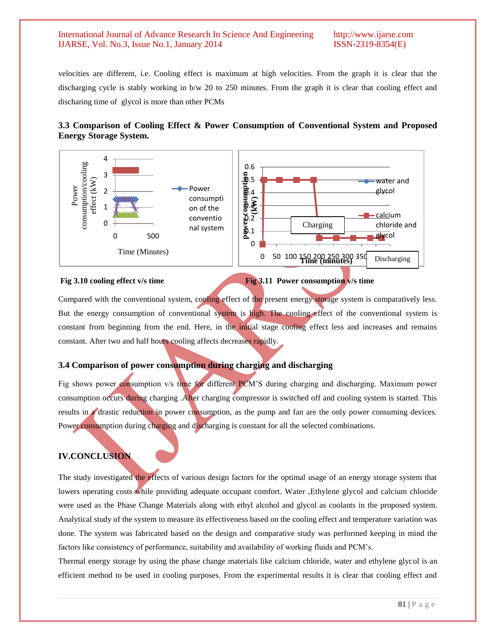velocities are different, i.e. Cooling effect is maximum at high velocities. From the graph it is clear that the discharging cycle is stably working in b/w 20 to 250 minutes. From the graph it is clear that cooling effect and discharing time of glycol is more than other PCMs

# **3.3 Comparison of Cooling Effect & Power Consumption of Conventional System and Proposed Energy Storage System.**



**Fig 3.10 cooling effect v/s time Fig 3.11 Power consumption v/s time**

Compared with the conventional system, cooling effect of the present energy storage system is comparatively less. But the energy consumption of conventional system is high. The cooling effect of the conventional system is constant from beginning from the end. Here, in the initial stage cooling effect less and increases and remains constant. After two and half hours cooling affects decreases rapidly.

# **3.4 Comparison of power consumption during charging and discharging**

Fig shows power consumption v/s time for different PCM"S during charging and discharging. Maximum power consumption occurs during charging .After charging compressor is switched off and cooling system is started. This results in a drastic reduction in power consumption, as the pump and fan are the only power consuming devices. Power consumption during charging and discharging is constant for all the selected combinations.

# **IV.CONCLUSION**

The study investigated the effects of various design factors for the optimal usage of an energy storage system that lowers operating costs while providing adequate occupant comfort. Water ,Ethylene glycol and calcium chloride were used as the Phase Change Materials along with ethyl alcohol and glycol as coolants in the proposed system. Analytical study of the system to measure its effectiveness based on the cooling effect and temperature variation was done. The system was fabricated based on the design and comparative study was performed keeping in mind the factors like consistency of performance, suitability and availability of working fluids and PCM"s.

Thermal energy storage by using the phase change materials like calcium chloride, water and ethylene glycol is an efficient method to be used in cooling purposes. From the experimental results it is clear that cooling effect and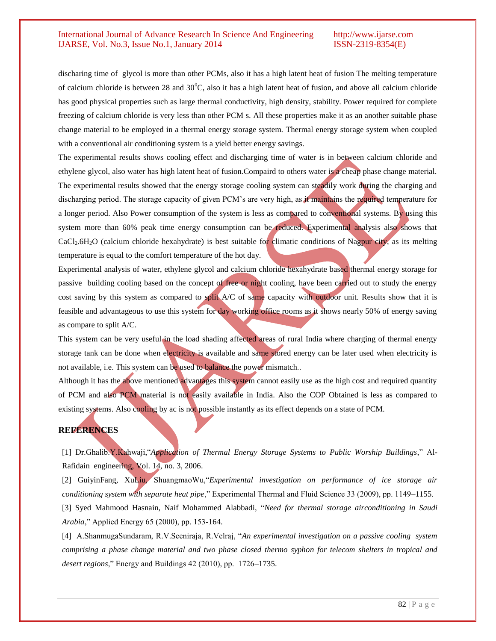discharing time of glycol is more than other PCMs, also it has a high latent heat of fusion The melting temperature of calcium chloride is between 28 and  $30^{\circ}$ C, also it has a high latent heat of fusion, and above all calcium chloride has good physical properties such as large thermal conductivity, high density, stability. Power required for complete freezing of calcium chloride is very less than other PCM s. All these properties make it as an another suitable phase change material to be employed in a thermal energy storage system. Thermal energy storage system when coupled with a conventional air conditioning system is a yield better energy savings.

The experimental results shows cooling effect and discharging time of water is in between calcium chloride and ethylene glycol, also water has high latent heat of fusion.Compaird to others water is a cheap phase change material. The experimental results showed that the energy storage cooling system can steadily work during the charging and discharging period. The storage capacity of given PCM's are very high, as it maintains the required temperature for a longer period. Also Power consumption of the system is less as compared to conventional systems. By using this system more than 60% peak time energy consumption can be reduced. Experimental analysis also shows that CaCl2.6H2O (calcium chloride hexahydrate) is best suitable for climatic conditions of Nagpur city, as its melting temperature is equal to the comfort temperature of the hot day.

Experimental analysis of water, ethylene glycol and calcium chloride hexahydrate based thermal energy storage for passive building cooling based on the concept of free or night cooling, have been carried out to study the energy cost saving by this system as compared to split A/C of same capacity with outdoor unit. Results show that it is feasible and advantageous to use this system for day working office rooms as it shows nearly 50% of energy saving as compare to split A/C.

This system can be very useful in the load shading affected areas of rural India where charging of thermal energy storage tank can be done when electricity is available and same stored energy can be later used when electricity is not available, i.e. This system can be used to balance the power mismatch..

Although it has the above mentioned advantages this system cannot easily use as the high cost and required quantity of PCM and also PCM material is not easily available in India. Also the COP Obtained is less as compared to existing systems. Also cooling by ac is not possible instantly as its effect depends on a state of PCM.

# **REFERENCES**

[1] Dr.Ghalib.Y.Kahwaji,"*Application of Thermal Energy Storage Systems to Public Worship Buildings*," Al-Rafidain engineering, Vol. 14, no. 3, 2006.

[2] GuiyinFang, XuLiu, ShuangmaoWu,"*Experimental investigation on performance of ice storage air conditioning system with separate heat pipe*," Experimental Thermal and Fluid Science 33 (2009), pp. 1149–1155.

[3] Syed Mahmood Hasnain, Naif Mohammed Alabbadi, "*Need for thermal storage airconditioning in Saudi Arabia*," Applied Energy 65 (2000), pp. 153-164.

[4] A.ShanmugaSundaram, R.V.Seeniraja, R.Velraj, "*An experimental investigation on a passive cooling system comprising a phase change material and two phase closed thermo syphon for telecom shelters in tropical and desert regions*," Energy and Buildings 42 (2010), pp. 1726–1735.